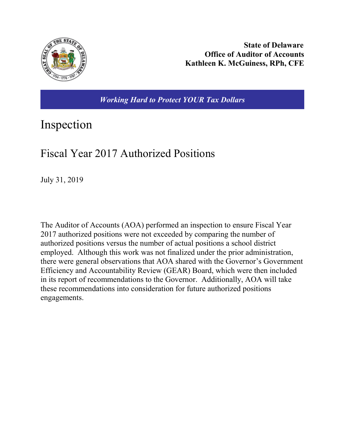

**State of Delaware Office of Auditor of Accounts Kathleen K. McGuiness, RPh, CFE**

*Working Hard to Protect YOUR Tax Dollars*

## Inspection

# Fiscal Year 2017 Authorized Positions

July 31, 2019

The Auditor of Accounts (AOA) performed an inspection to ensure Fiscal Year 2017 authorized positions were not exceeded by comparing the number of authorized positions versus the number of actual positions a school district employed. Although this work was not finalized under the prior administration, there were general observations that AOA shared with the Governor's Government Efficiency and Accountability Review (GEAR) Board, which were then included in its report of recommendations to the Governor. Additionally, AOA will take these recommendations into consideration for future authorized positions engagements.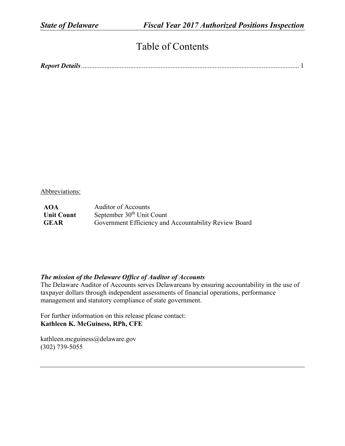### Table of Contents

|--|

Abbreviations:

**AOA** Auditor of Accounts **Unit Count** September 30<sup>th</sup> Unit Count GEAR Government Efficiency and Accountability Review Board

### *The mission of the Delaware Office of Auditor of Accounts*

The Delaware Auditor of Accounts serves Delawareans by ensuring accountability in the use of taxpayer dollars through independent assessments of financial operations, performance management and statutory compliance of state government.

For further information on this release please contact: **Kathleen K. McGuiness, RPh, CFE**

kathleen.mcguiness@delaware.gov (302) 739-5055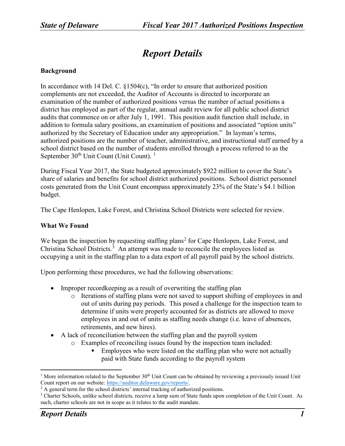## *Report Details*

### <span id="page-2-0"></span>**Background**

In accordance with 14 Del. C. §1504(c), "In order to ensure that authorized position complements are not exceeded, the Auditor of Accounts is directed to incorporate an examination of the number of authorized positions versus the number of actual positions a district has employed as part of the regular, annual audit review for all public school district audits that commence on or after July 1, 1991. This position audit function shall include, in addition to formula salary positions, an examination of positions and associated "option units" authorized by the Secretary of Education under any appropriation." In layman's terms, authorized positions are the number of teacher, administrative, and instructional staff earned by a school district based on the number of students enrolled through a process referred to as the September  $30<sup>th</sup>$  Unit Count (Unit Count).  $<sup>1</sup>$  $<sup>1</sup>$  $<sup>1</sup>$ </sup>

During Fiscal Year 2017, the State budgeted approximately \$922 million to cover the State's share of salaries and benefits for school district authorized positions. School district personnel costs generated from the Unit Count encompass approximately 23% of the State's \$4.1 billion budget.

The Cape Henlopen, Lake Forest, and Christina School Districts were selected for review.

#### **What We Found**

We began the inspection by requesting staffing plans<sup>[2](#page-2-2)</sup> for Cape Henlopen, Lake Forest, and Christina School Districts.<sup>[3](#page-2-3)</sup> An attempt was made to reconcile the employees listed as occupying a unit in the staffing plan to a data export of all payroll paid by the school districts.

Upon performing these procedures, we had the following observations:

- Improper record keeping as a result of overwriting the staffing plan
	- o Iterations of staffing plans were not saved to support shifting of employees in and out of units during pay periods. This posed a challenge for the inspection team to determine if units were properly accounted for as districts are allowed to move employees in and out of units as staffing needs change (i.e. leave of absences, retirements, and new hires).
- A lack of reconciliation between the staffing plan and the payroll system
	- o Examples of reconciling issues found by the inspection team included:
		- Employees who were listed on the staffing plan who were not actually paid with State funds according to the payroll system

<span id="page-2-1"></span><sup>&</sup>lt;sup>1</sup> More information related to the September  $30<sup>th</sup>$  Unit Count can be obtained by reviewing a previously issued Unit Count report on our website:  $\frac{https://auditor.delaware.gov/reports/}{https://auditor.delaware.gov/reports/}.$ <br><sup>2</sup> A general term for the school districts' internal tracking of authorized positions.

<span id="page-2-2"></span>

<span id="page-2-3"></span><sup>3</sup> Charter Schools, unlike school districts, receive a lump sum of State funds upon completion of the Unit Count. As such, charter schools are not in scope as it relates to the audit mandate.